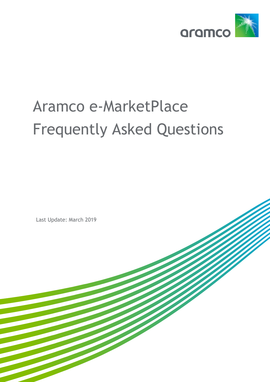

## Aramco e-MarketPlace Frequently Asked Questions

Last Update: March 2019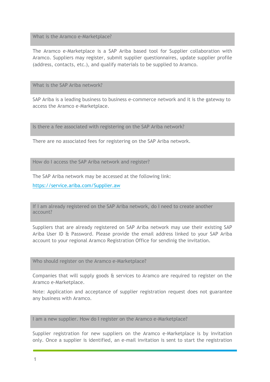What is the Aramco e-Marketplace?

The Aramco e-Marketplace is a SAP Ariba based tool for Supplier collaboration with Aramco. Suppliers may register, submit supplier questionnaires, update supplier profile (address, contacts, etc.), and qualify materials to be supplied to Aramco.

What is the SAP Ariba network?

SAP Ariba is a leading business to business e-commerce network and it is the gateway to access the Aramco e-Marketplace.

Is there a fee associated with registering on the SAP Ariba network?

There are no associated fees for registering on the SAP Ariba network.

How do I access the SAP Ariba network and register?

The SAP Ariba network may be accessed at the following link:

<https://service.ariba.com/Supplier.aw>

If I am already registered on the SAP Ariba network, do I need to create another account?

Suppliers that are already registered on SAP Ariba network may use their existing SAP Ariba User ID & Password. Please provide the email address linked to your SAP Ariba account to your regional Aramco Registration Office for sendinig the invitation.

Who should register on the Aramco e-Marketplace?

Companies that will supply goods & services to Aramco are required to register on the Aramco e-Marketplace.

Note: Application and acceptance of supplier registration request does not guarantee any business with Aramco.

I am a new supplier. How do I register on the Aramco e-Marketplace?

Supplier registration for new suppliers on the Aramco e-Marketplace is by invitation only. Once a supplier is identified, an e-mail invitation is sent to start the registration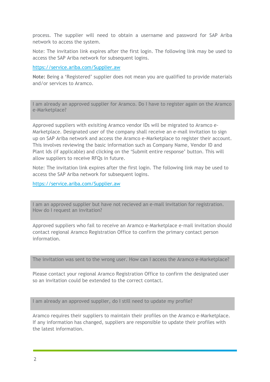process. The supplier will need to obtain a username and password for SAP Ariba network to access the system.

Note: The invitation link expires after the first login. The following link may be used to access the SAP Ariba network for subsequent logins.

## https://service.ariba.com/Supplier.aw

**Note:** Being a 'Registered' supplier does not mean you are qualified to provide materials and/or services to Aramco.

I am already an approved supplier for Aramco. Do I have to register again on the Aramco e-Marketplace?

Approved suppliers with exisiting Aramco vendor IDs will be migrated to Aramco e-Marketplace. Designated user of the company shall receive an e-mail invitation to sign up on SAP Ariba network and access the Aramco e-Marketplace to register their account. This involves reviewing the basic information such as Company Name, Vendor ID and Plant Ids (if applicable) and clicking on the 'Submit entire response' button. This will allow suppliers to receive RFQs in future.

Note: The invitation link expires after the first login. The following link may be used to access the SAP Ariba network for subsequent logins.

<https://service.ariba.com/Supplier.aw>

I am an approved supplier but have not recieved an e-mail invitation for registration. How do I request an invitation?

Approved suppliers who fail to receive an Aramco e-Marketplace e-mail invitation should contact regional Aramco Registration Office to confirm the primary contact person information.

The invitation was sent to the wrong user. How can I access the Aramco e-Marketplace?

Please contact your regional Aramco Registration Office to confirm the designated user so an invitation could be extended to the correct contact.

I am already an approved supplier, do I still need to update my profile?

Aramco requires their suppliers to maintain their profiles on the Aramco e-Marketplace. If any information has changed, suppliers are responsible to update their profiles with the latest information.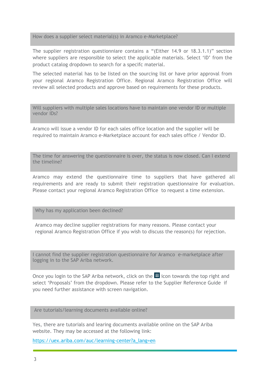How does a supplier select material(s) in Aramco e-Marketplace?

The supplier registration questionniare contains a "(Either 14.9 or 18.3.1.1)" section where suppliers are responsible to select the applicable materials. Select 'ID' from the product catalog dropdown to search for a specifc material.

The selected material has to be listed on the sourcing list or have prior approval from your regional Aramco Registration Office. Regional Aramco Registration Office will review all selected products and approve based on requirements for these products.

Will suppliers with multiple sales locations have to maintain one vendor ID or multiple vendor IDs?

Aramco will issue a vendor ID for each sales office location and the supplier will be required to maintain Aramco e-Marketplace account for each sales office / Vendor ID.

The time for answering the questionnaire is over, the status is now closed. Can I extend the timeline?

Aramco may extend the questionnaire time to suppliers that have gathered all requirements and are ready to submit their registration questionnaire for evaluation. Please contact your regional Aramco Registration Office to request a time extension.

Why has my application been declined?

Aramco may decline supplier registrations for many reasons. Please contact your regional Aramco Registration Office if you wish to discuss the reason(s) for rejection.

I cannot find the supplier registration questionnaire for Aramco e-marketplace after logging in to the SAP Ariba network.

Once you login to the SAP Ariba network, click on the  $\frac{1}{2}$  icon towards the top right and select 'Proposals' from the dropdown. Please refer to the Supplier Reference Guide if you need further assistance with screen navigation.

Are tutorials/learning documents available online?

Yes, there are tutorials and learing documents available online on the SAP Ariba website. They may be accessed at the following link:

[https://uex.ariba.com/auc/learning-center?a\\_lang=en](https://uex.ariba.com/auc/learning-center?a_lang=en)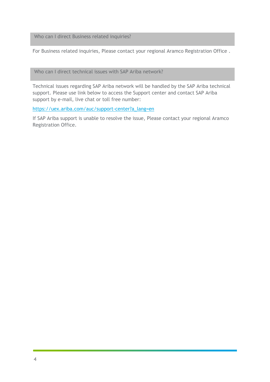Who can I direct Business related inquiries?

For Business related inquiries, Please contact your regional Aramco Registration Office .

Who can I direct technical issues with SAP Ariba network?

Technical issues regarding SAP Ariba network will be handled by the SAP Ariba technical support. Please use link below to access the Support center and contact SAP Ariba support by e-mail, live chat or toll free number:

https://uex.ariba.com/auc/support-center?a\_lang=en

If SAP Ariba support is unable to resolve the issue, Please contact your regional Aramco Registration Office.